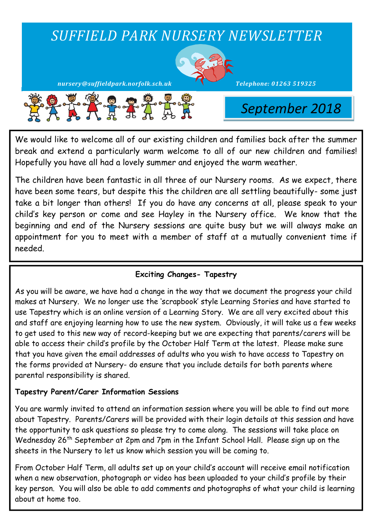

We would like to welcome all of our existing children and families back after the summer break and extend a particularly warm welcome to all of our new children and families! Hopefully you have all had a lovely summer and enjoyed the warm weather.

The children have been fantastic in all three of our Nursery rooms. As we expect, there have been some tears, but despite this the children are all settling beautifully- some just take a bit longer than others! If you do have any concerns at all, please speak to your child's key person or come and see Hayley in the Nursery office. We know that the beginning and end of the Nursery sessions are quite busy but we will always make an appointment for you to meet with a member of staff at a mutually convenient time if needed.

# **Exciting Changes- Tapestry**

As you will be aware, we have had a change in the way that we document the progress your child makes at Nursery. We no longer use the 'scrapbook' style Learning Stories and have started to use Tapestry which is an online version of a Learning Story. We are all very excited about this and staff are enjoying learning how to use the new system. Obviously, it will take us a few weeks to get used to this new way of record-keeping but we are expecting that parents/carers will be able to access their child's profile by the October Half Term at the latest. Please make sure that you have given the email addresses of adults who you wish to have access to Tapestry on the forms provided at Nursery- do ensure that you include details for both parents where parental responsibility is shared.

# **Tapestry Parent/Carer Information Sessions**

You are warmly invited to attend an information session where you will be able to find out more about Tapestry. Parents/Carers will be provided with their login details at this session and have the opportunity to ask questions so please try to come along. The sessions will take place on Wednesday 26<sup>th</sup> September at 2pm and 7pm in the Infant School Hall. Please sign up on the sheets in the Nursery to let us know which session you will be coming to.

From October Half Term, all adults set up on your child's account will receive email notification when a new observation, photograph or video has been uploaded to your child's profile by their key person. You will also be able to add comments and photographs of what your child is learning about at home too.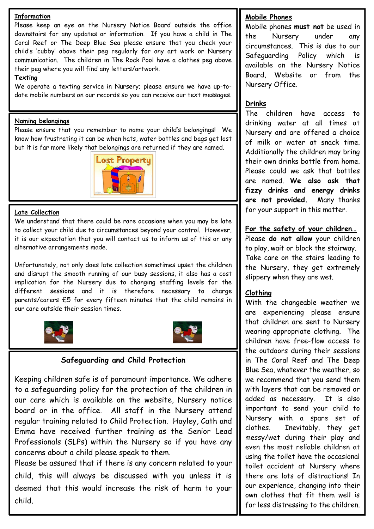#### **Information**

Please keep an eye on the Nursery Notice Board outside the office downstairs for any updates or information. If you have a child in The Coral Reef or The Deep Blue Sea please ensure that you check your child's 'cubby' above their peg regularly for any art work or Nursery communication. The children in The Rock Pool have a clothes peg above their peg where you will find any letters/artwork.

#### **Texting**

We operate a texting service in Nursery; please ensure we have up-todate mobile numbers on our records so you can receive our text messages.

#### **Naming belongings**

Please ensure that you remember to name your child's belongings! We know how frustrating it can be when hats, water bottles and bags get lost but it is far more likely that belongings are returned if they are named.



#### **Late Collection**

We understand that there could be rare occasions when you may be late to collect your child due to circumstances beyond your control. However, it is our expectation that you will contact us to inform us of this or any alternative arrangements made.

Unfortunately, not only does late collection sometimes upset the children and disrupt the smooth running of our busy sessions, it also has a cost implication for the Nursery due to changing staffing levels for the different sessions and it is therefore necessary to charge parents/carers £5 for every fifteen minutes that the child remains in our care outside their session times.





## **Safeguarding and Child Protection**

Keeping children safe is of paramount importance. We adhere to a safeguarding policy for the protection of the children in our care which is available on the website, Nursery notice board or in the office. All staff in the Nursery attend regular training related to Child Protection. Hayley, Cath and Emma have received further training as the Senior Lead Professionals (SLPs) within the Nursery so if you have any concerns about a child please speak to them.

Please be assured that if there is any concern related to your child, this will always be discussed with you unless it is deemed that this would increase the risk of harm to your child.

## **Mobile Phones**

Mobile phones **must not** be used in the Nursery under any circumstances. This is due to our Safeguarding Policy which is available on the Nursery Notice Board, Website or from the Nursery Office.

## **Drinks**

The children have access to drinking water at all times at Nursery and are offered a choice of milk or water at snack time. Additionally the children may bring their own drinks bottle from home. Please could we ask that bottles are named. **We also ask that fizzy drinks and energy drinks are not provided.** Many thanks for your support in this matter.

## **For the safety of your children…**

Please **do not allow** your children to play, wait or block the stairway. Take care on the stairs leading to the Nursery, they get extremely slippery when they are wet.

#### **Clothing**

With the changeable weather we are experiencing please ensure that children are sent to Nursery wearing appropriate clothing. The children have free-flow access to the outdoors during their sessions in The Coral Reef and The Deep Blue Sea, whatever the weather, so we recommend that you send them with layers that can be removed or added as necessary. It is also important to send your child to Nursery with a spare set of clothes. Inevitably, they get messy/wet during their play and even the most reliable children at using the toilet have the occasional toilet accident at Nursery where there are lots of distractions! In our experience, changing into their own clothes that fit them well is far less distressing to the children.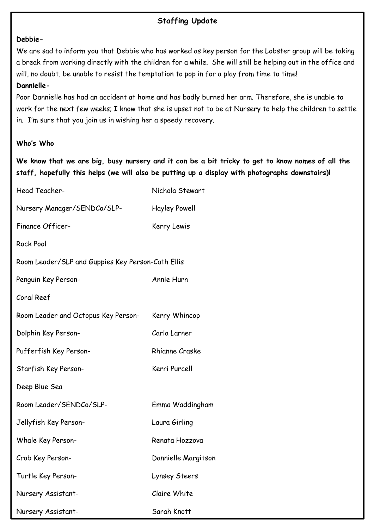# **Staffing Update**

#### **Debbie-**

We are sad to inform you that Debbie who has worked as key person for the Lobster group will be taking a break from working directly with the children for a while. She will still be helping out in the office and will, no doubt, be unable to resist the temptation to pop in for a play from time to time!

## **Dannielle-**

Poor Dannielle has had an accident at home and has badly burned her arm. Therefore, she is unable to work for the next few weeks; I know that she is upset not to be at Nursery to help the children to settle in. I'm sure that you join us in wishing her a speedy recovery.

## **Who's Who**

**We know that we are big, busy nursery and it can be a bit tricky to get to know names of all the staff, hopefully this helps (we will also be putting up a display with photographs downstairs)!**

| Head Teacher-                                     | Nichola Stewart       |  |
|---------------------------------------------------|-----------------------|--|
| Nursery Manager/SENDCo/SLP-                       | <b>Hayley Powell</b>  |  |
| Finance Officer-                                  | Kerry Lewis           |  |
| <b>Rock Pool</b>                                  |                       |  |
| Room Leader/SLP and Guppies Key Person-Cath Ellis |                       |  |
| Penguin Key Person-                               | Annie Hurn            |  |
| Coral Reef                                        |                       |  |
| Room Leader and Octopus Key Person-               | Kerry Whincop         |  |
| Dolphin Key Person-                               | Carla Larner          |  |
| Pufferfish Key Person-                            | <b>Rhianne Craske</b> |  |
| Starfish Key Person-                              | Kerri Purcell         |  |
| Deep Blue Sea                                     |                       |  |
| Room Leader/SENDCo/SLP-                           | Emma Waddingham       |  |
| Jellyfish Key Person-                             | Laura Girling         |  |
| Whale Key Person-                                 | Renata Hozzova        |  |
| Crab Key Person-                                  | Dannielle Margitson   |  |
| Turtle Key Person-                                | Lynsey Steers         |  |
| Nursery Assistant-                                | Claire White          |  |
| Nursery Assistant-                                | Sarah Knott           |  |